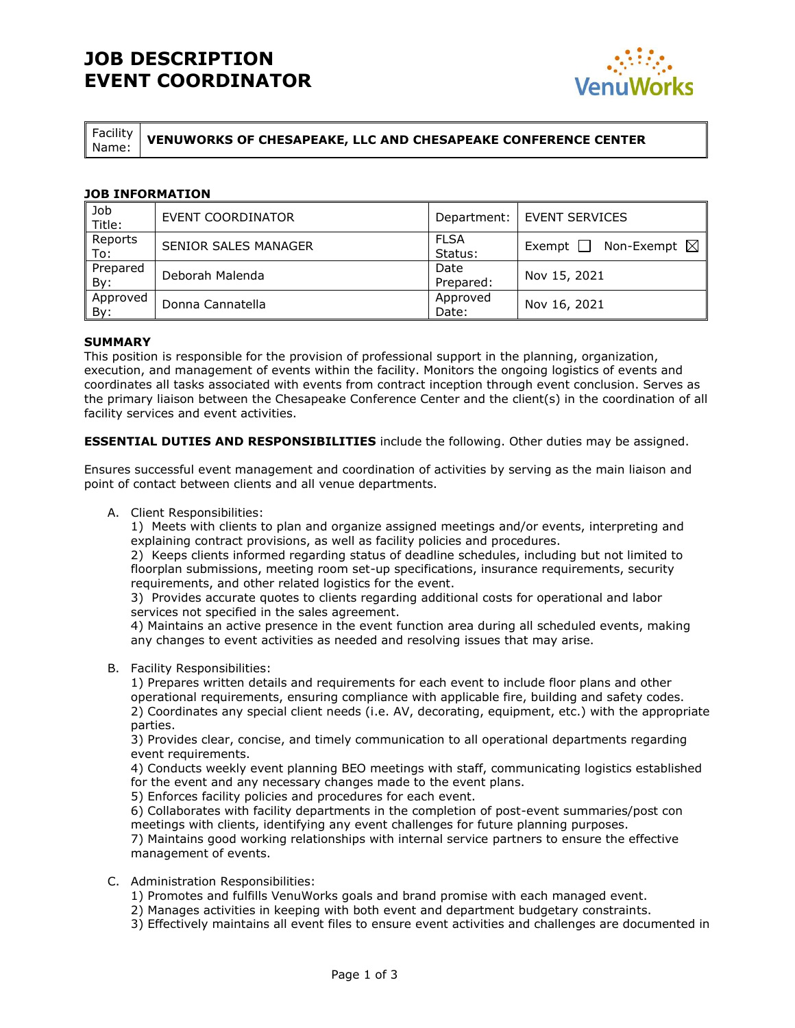## **JOB DESCRIPTION EVENT COORDINATOR**



Facility

Name: **VENUWORKS OF CHESAPEAKE, LLC AND CHESAPEAKE CONFERENCE CENTER**

## **JOB INFORMATION**

| Job<br>Title:   | EVENT COORDINATOR    | Department:            | <b>EVENT SERVICES</b>                   |
|-----------------|----------------------|------------------------|-----------------------------------------|
| Reports<br>To:  | SENIOR SALES MANAGER | <b>FLSA</b><br>Status: | Non-Exempt $\boxtimes$<br>Exempt $\Box$ |
| Prepared<br>By: | Deborah Malenda      | Date<br>Prepared:      | Nov 15, 2021                            |
| Approved<br>By: | Donna Cannatella     | Approved<br>Date:      | Nov 16, 2021                            |

## **SUMMARY**

This position is responsible for the provision of professional support in the planning, organization, execution, and management of events within the facility. Monitors the ongoing logistics of events and coordinates all tasks associated with events from contract inception through event conclusion. Serves as the primary liaison between the Chesapeake Conference Center and the client(s) in the coordination of all facility services and event activities.

**ESSENTIAL DUTIES AND RESPONSIBILITIES** include the following. Other duties may be assigned.

Ensures successful event management and coordination of activities by serving as the main liaison and point of contact between clients and all venue departments.

A. Client Responsibilities:

1) Meets with clients to plan and organize assigned meetings and/or events, interpreting and explaining contract provisions, as well as facility policies and procedures.

2) Keeps clients informed regarding status of deadline schedules, including but not limited to floorplan submissions, meeting room set-up specifications, insurance requirements, security requirements, and other related logistics for the event.

3) Provides accurate quotes to clients regarding additional costs for operational and labor services not specified in the sales agreement.

4) Maintains an active presence in the event function area during all scheduled events, making any changes to event activities as needed and resolving issues that may arise.

B. Facility Responsibilities:

1) Prepares written details and requirements for each event to include floor plans and other operational requirements, ensuring compliance with applicable fire, building and safety codes. 2) Coordinates any special client needs (i.e. AV, decorating, equipment, etc.) with the appropriate parties.

3) Provides clear, concise, and timely communication to all operational departments regarding event requirements.

4) Conducts weekly event planning BEO meetings with staff, communicating logistics established for the event and any necessary changes made to the event plans.

5) Enforces facility policies and procedures for each event.

6) Collaborates with facility departments in the completion of post-event summaries/post con meetings with clients, identifying any event challenges for future planning purposes.

7) Maintains good working relationships with internal service partners to ensure the effective management of events.

#### C. Administration Responsibilities:

- 1) Promotes and fulfills VenuWorks goals and brand promise with each managed event.
- 2) Manages activities in keeping with both event and department budgetary constraints.
- 3) Effectively maintains all event files to ensure event activities and challenges are documented in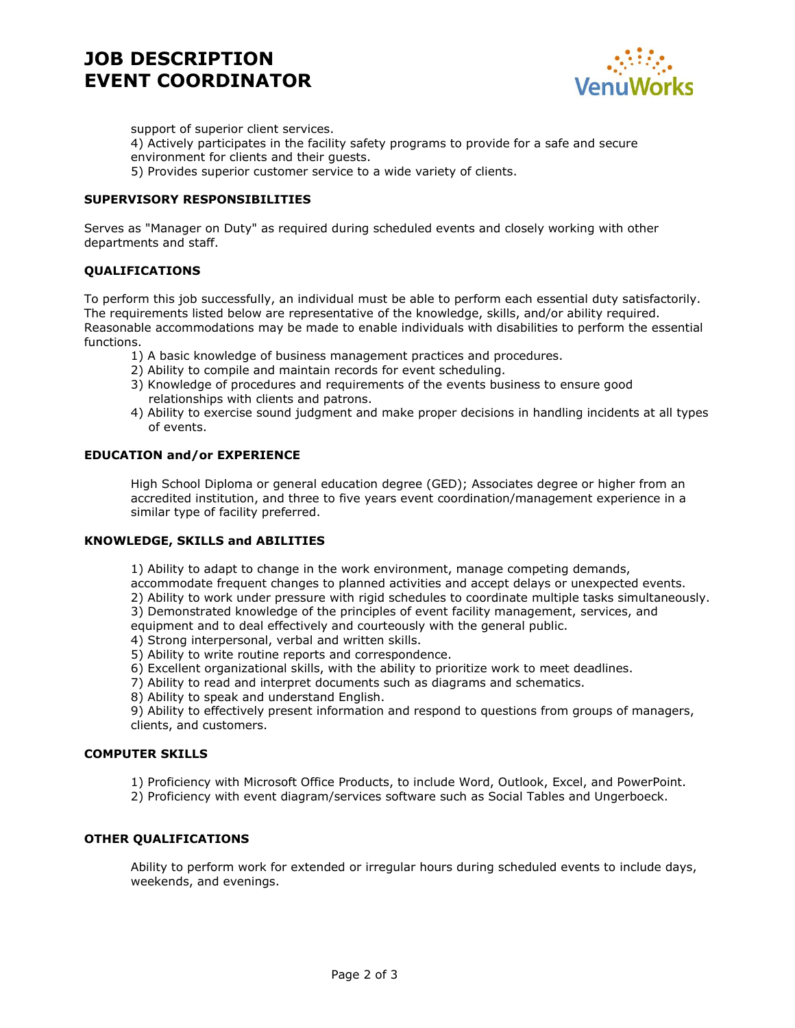# **JOB DESCRIPTION EVENT COORDINATOR**



support of superior client services. 4) Actively participates in the facility safety programs to provide for a safe and secure environment for clients and their guests.

5) Provides superior customer service to a wide variety of clients.

## **SUPERVISORY RESPONSIBILITIES**

Serves as "Manager on Duty" as required during scheduled events and closely working with other departments and staff.

## **QUALIFICATIONS**

To perform this job successfully, an individual must be able to perform each essential duty satisfactorily. The requirements listed below are representative of the knowledge, skills, and/or ability required. Reasonable accommodations may be made to enable individuals with disabilities to perform the essential functions.

- 1) A basic knowledge of business management practices and procedures.
- 2) Ability to compile and maintain records for event scheduling.
- 3) Knowledge of procedures and requirements of the events business to ensure good relationships with clients and patrons.
- 4) Ability to exercise sound judgment and make proper decisions in handling incidents at all types of events.

#### **EDUCATION and/or EXPERIENCE**

High School Diploma or general education degree (GED); Associates degree or higher from an accredited institution, and three to five years event coordination/management experience in a similar type of facility preferred.

#### **KNOWLEDGE, SKILLS and ABILITIES**

1) Ability to adapt to change in the work environment, manage competing demands,

accommodate frequent changes to planned activities and accept delays or unexpected events.

- 2) Ability to work under pressure with rigid schedules to coordinate multiple tasks simultaneously.
- 3) Demonstrated knowledge of the principles of event facility management, services, and

equipment and to deal effectively and courteously with the general public.

- 4) Strong interpersonal, verbal and written skills.
- 5) Ability to write routine reports and correspondence.
- 6) Excellent organizational skills, with the ability to prioritize work to meet deadlines.
- 7) Ability to read and interpret documents such as diagrams and schematics.
- 8) Ability to speak and understand English.

9) Ability to effectively present information and respond to questions from groups of managers, clients, and customers.

#### **COMPUTER SKILLS**

1) Proficiency with Microsoft Office Products, to include Word, Outlook, Excel, and PowerPoint.

2) Proficiency with event diagram/services software such as Social Tables and Ungerboeck.

#### **OTHER QUALIFICATIONS**

Ability to perform work for extended or irregular hours during scheduled events to include days, weekends, and evenings.